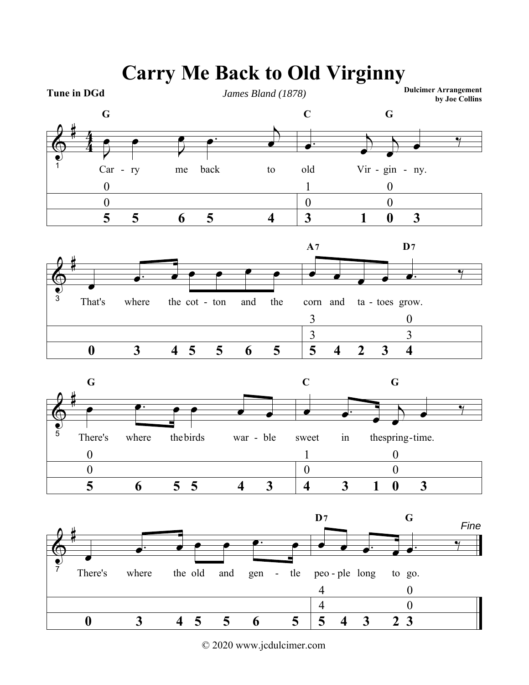

**Carry Me Back to Old Virginny**

© 2020 www.jcdulcimer.com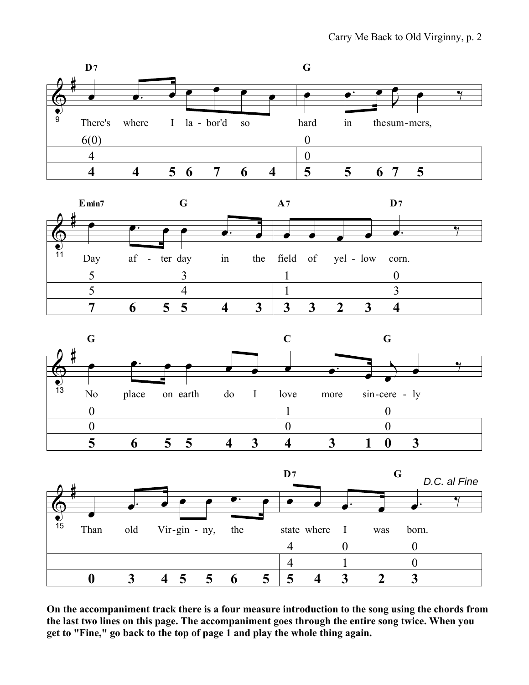







On the accompaniment track there is a four measure introduction to the song using the chords from the last two lines on this page. The accompaniment goes through the entire song twice. When you get to "Fine," go back to the top of page 1 and play the whole thing again.